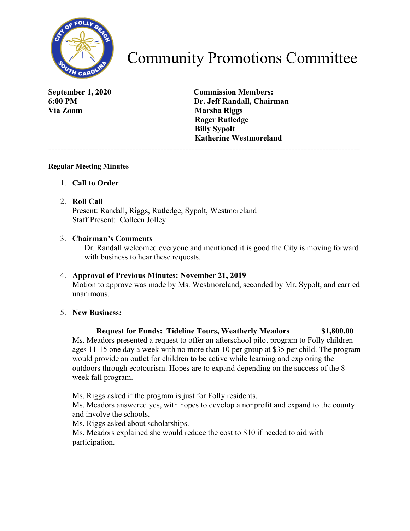

# Community Promotions Committee

**Via Zoom Marsha Riggs** 

**September 1, 2020 Commission Members: 6:00 PM Dr. Jeff Randall, Chairman Roger Rutledge Billy Sypolt Katherine Westmoreland** 

----------------------------------------------------------------------------------------------------

#### **Regular Meeting Minutes**

1. **Call to Order**

#### 2. **Roll Call**

Present: Randall, Riggs, Rutledge, Sypolt, Westmoreland Staff Present: Colleen Jolley

#### 3. **Chairman's Comments**

Dr. Randall welcomed everyone and mentioned it is good the City is moving forward with business to hear these requests.

#### 4. **Approval of Previous Minutes: November 21, 2019**

Motion to approve was made by Ms. Westmoreland, seconded by Mr. Sypolt, and carried unanimous.

#### 5. **New Business:**

## **Request for Funds: Tideline Tours, Weatherly Meadors \$1,800.00**

Ms. Meadors presented a request to offer an afterschool pilot program to Folly children ages 11-15 one day a week with no more than 10 per group at \$35 per child. The program would provide an outlet for children to be active while learning and exploring the outdoors through ecotourism. Hopes are to expand depending on the success of the 8 week fall program.

Ms. Riggs asked if the program is just for Folly residents.

Ms. Meadors answered yes, with hopes to develop a nonprofit and expand to the county and involve the schools.

Ms. Riggs asked about scholarships.

Ms. Meadors explained she would reduce the cost to \$10 if needed to aid with participation.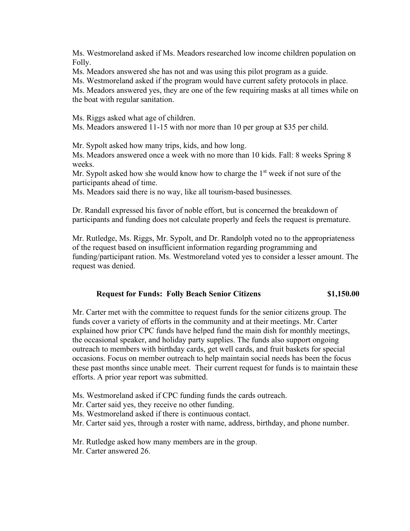Ms. Westmoreland asked if Ms. Meadors researched low income children population on Folly.

Ms. Meadors answered she has not and was using this pilot program as a guide.

Ms. Westmoreland asked if the program would have current safety protocols in place.

Ms. Meadors answered yes, they are one of the few requiring masks at all times while on the boat with regular sanitation.

Ms. Riggs asked what age of children.

Ms. Meadors answered 11-15 with nor more than 10 per group at \$35 per child.

Mr. Sypolt asked how many trips, kids, and how long.

Ms. Meadors answered once a week with no more than 10 kids. Fall: 8 weeks Spring 8 weeks.

Mr. Sypolt asked how she would know how to charge the  $1<sup>st</sup>$  week if not sure of the participants ahead of time.

Ms. Meadors said there is no way, like all tourism-based businesses.

Dr. Randall expressed his favor of noble effort, but is concerned the breakdown of participants and funding does not calculate properly and feels the request is premature.

Mr. Rutledge, Ms. Riggs, Mr. Sypolt, and Dr. Randolph voted no to the appropriateness of the request based on insufficient information regarding programming and funding/participant ration. Ms. Westmoreland voted yes to consider a lesser amount. The request was denied.

#### **Request for Funds: Folly Beach Senior Citizens \$1,150.00**

Mr. Carter met with the committee to request funds for the senior citizens group. The funds cover a variety of efforts in the community and at their meetings. Mr. Carter explained how prior CPC funds have helped fund the main dish for monthly meetings, the occasional speaker, and holiday party supplies. The funds also support ongoing outreach to members with birthday cards, get well cards, and fruit baskets for special occasions. Focus on member outreach to help maintain social needs has been the focus these past months since unable meet. Their current request for funds is to maintain these efforts. A prior year report was submitted.

- Ms. Westmoreland asked if CPC funding funds the cards outreach.
- Mr. Carter said yes, they receive no other funding.
- Ms. Westmoreland asked if there is continuous contact.
- Mr. Carter said yes, through a roster with name, address, birthday, and phone number.

Mr. Rutledge asked how many members are in the group.

Mr. Carter answered 26.